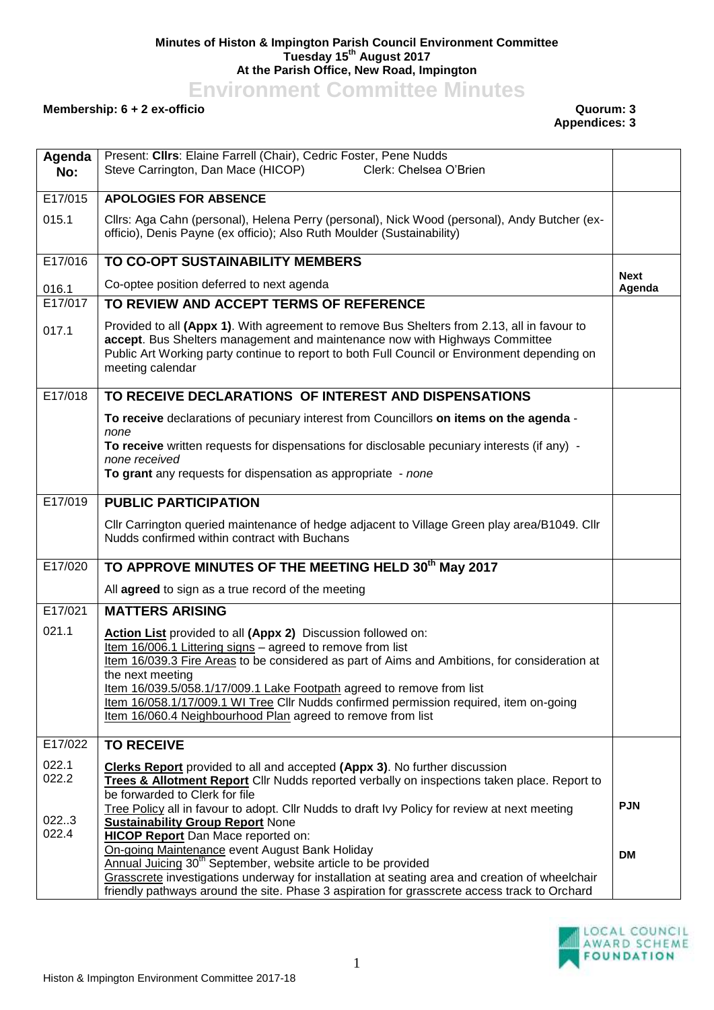## **Minutes of Histon & Impington Parish Council Environment Committee Tuesday 15th August 2017 At the Parish Office, New Road, Impington**

**Environment Committee Minutes**

## **Membership: 6 + 2 ex-officio Quorum: 3**

**Appendices: 3**

| Agenda<br>No:  | Present: Clirs: Elaine Farrell (Chair), Cedric Foster, Pene Nudds<br>Steve Carrington, Dan Mace (HICOP)<br>Clerk: Chelsea O'Brien                                                                                                                                                              |                       |
|----------------|------------------------------------------------------------------------------------------------------------------------------------------------------------------------------------------------------------------------------------------------------------------------------------------------|-----------------------|
| E17/015        | <b>APOLOGIES FOR ABSENCE</b>                                                                                                                                                                                                                                                                   |                       |
| 015.1          | Cllrs: Aga Cahn (personal), Helena Perry (personal), Nick Wood (personal), Andy Butcher (ex-<br>officio), Denis Payne (ex officio); Also Ruth Moulder (Sustainability)                                                                                                                         |                       |
| E17/016        | TO CO-OPT SUSTAINABILITY MEMBERS                                                                                                                                                                                                                                                               |                       |
| 016.1          | Co-optee position deferred to next agenda                                                                                                                                                                                                                                                      | <b>Next</b><br>Agenda |
| E17/017        | TO REVIEW AND ACCEPT TERMS OF REFERENCE                                                                                                                                                                                                                                                        |                       |
| 017.1          | Provided to all (Appx 1). With agreement to remove Bus Shelters from 2.13, all in favour to<br>accept. Bus Shelters management and maintenance now with Highways Committee<br>Public Art Working party continue to report to both Full Council or Environment depending on<br>meeting calendar |                       |
| E17/018        | TO RECEIVE DECLARATIONS OF INTEREST AND DISPENSATIONS                                                                                                                                                                                                                                          |                       |
|                | To receive declarations of pecuniary interest from Councillors on items on the agenda -                                                                                                                                                                                                        |                       |
|                | none<br>To receive written requests for dispensations for disclosable pecuniary interests (if any) -<br>none received                                                                                                                                                                          |                       |
|                | To grant any requests for dispensation as appropriate - none                                                                                                                                                                                                                                   |                       |
| E17/019        | <b>PUBLIC PARTICIPATION</b>                                                                                                                                                                                                                                                                    |                       |
|                | Cllr Carrington queried maintenance of hedge adjacent to Village Green play area/B1049. Cllr<br>Nudds confirmed within contract with Buchans                                                                                                                                                   |                       |
| E17/020        | TO APPROVE MINUTES OF THE MEETING HELD 30th May 2017                                                                                                                                                                                                                                           |                       |
|                | All agreed to sign as a true record of the meeting                                                                                                                                                                                                                                             |                       |
| E17/021        | <b>MATTERS ARISING</b>                                                                                                                                                                                                                                                                         |                       |
| 021.1          | Action List provided to all (Appx 2) Discussion followed on:                                                                                                                                                                                                                                   |                       |
|                | Item 16/006.1 Littering signs - agreed to remove from list<br>Item 16/039.3 Fire Areas to be considered as part of Aims and Ambitions, for consideration at                                                                                                                                    |                       |
|                | the next meeting                                                                                                                                                                                                                                                                               |                       |
|                | Item 16/039.5/058.1/17/009.1 Lake Footpath agreed to remove from list<br>Item 16/058.1/17/009.1 WI Tree Cllr Nudds confirmed permission required, item on-going                                                                                                                                |                       |
|                | Item 16/060.4 Neighbourhood Plan agreed to remove from list                                                                                                                                                                                                                                    |                       |
| E17/022        | <b>TO RECEIVE</b>                                                                                                                                                                                                                                                                              |                       |
| 022.1          | <b>Clerks Report</b> provided to all and accepted (Appx 3). No further discussion                                                                                                                                                                                                              |                       |
| 022.2          | Trees & Allotment Report Cllr Nudds reported verbally on inspections taken place. Report to<br>be forwarded to Clerk for file                                                                                                                                                                  |                       |
|                | Tree Policy all in favour to adopt. Cllr Nudds to draft Ivy Policy for review at next meeting                                                                                                                                                                                                  | <b>PJN</b>            |
| 022.3<br>022.4 | <b>Sustainability Group Report None</b><br><b>HICOP Report</b> Dan Mace reported on:                                                                                                                                                                                                           |                       |
|                | On-going Maintenance event August Bank Holiday                                                                                                                                                                                                                                                 | <b>DM</b>             |
|                | Annual Juicing 30 <sup>th</sup> September, website article to be provided<br>Grasscrete investigations underway for installation at seating area and creation of wheelchair                                                                                                                    |                       |
|                | friendly pathways around the site. Phase 3 aspiration for grasscrete access track to Orchard                                                                                                                                                                                                   |                       |